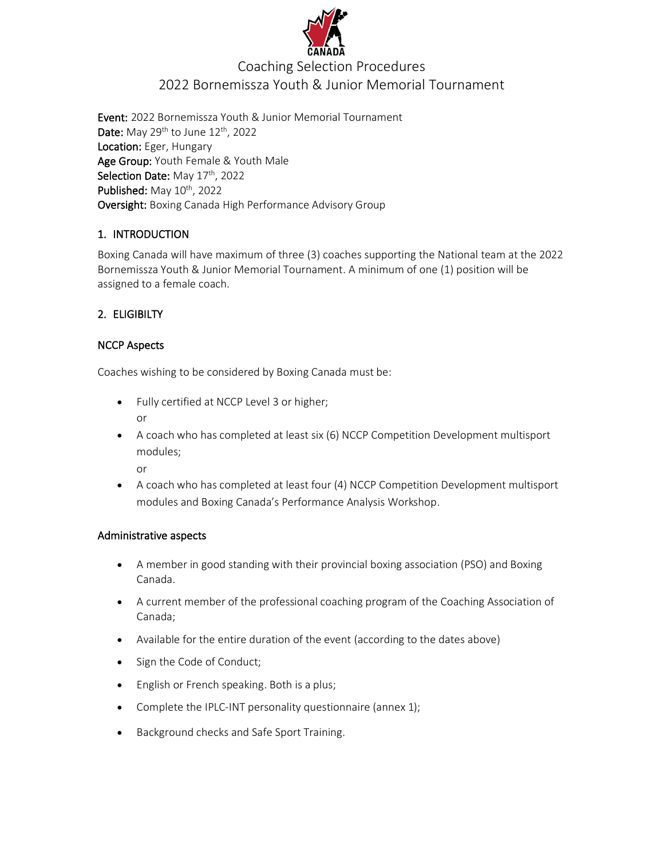

### Coaching Selection Procedures 2022 Bornemissza Youth & Junior Memorial Tournament

Event: 2022 Bornemissza Youth & Junior Memorial Tournament Date: May  $29^{th}$  to June  $12^{th}$ , 2022 Location: Eger, Hungary Age Group: Youth Female & Youth Male Selection Date: May 17<sup>th</sup>, 2022 Published: May 10<sup>th</sup>, 2022 Oversight: Boxing Canada High Performance Advisory Group

#### 1. INTRODUCTION

Boxing Canada will have maximum of three (3) coaches supporting the National team at the 2022 Bornemissza Youth & Junior Memorial Tournament. A minimum of one (1) position will be assigned to a female coach.

#### 2. ELIGIBILTY

#### NCCP Aspects

Coaches wishing to be considered by Boxing Canada must be:

- Fully certified at NCCP Level 3 or higher; or
- A coach who has completed at least six (6) NCCP Competition Development multisport modules;

or

• A coach who has completed at least four (4) NCCP Competition Development multisport modules and Boxing Canada's Performance Analysis Workshop.

#### Administrative aspects

- A member in good standing with their provincial boxing association (PSO) and Boxing Canada.
- A current member of the professional coaching program of the Coaching Association of Canada;
- Available for the entire duration of the event (according to the dates above)
- Sign the Code of Conduct;
- English or French speaking. Both is a plus;
- Complete the IPLC-INT personality questionnaire (annex 1);
- Background checks and Safe Sport Training.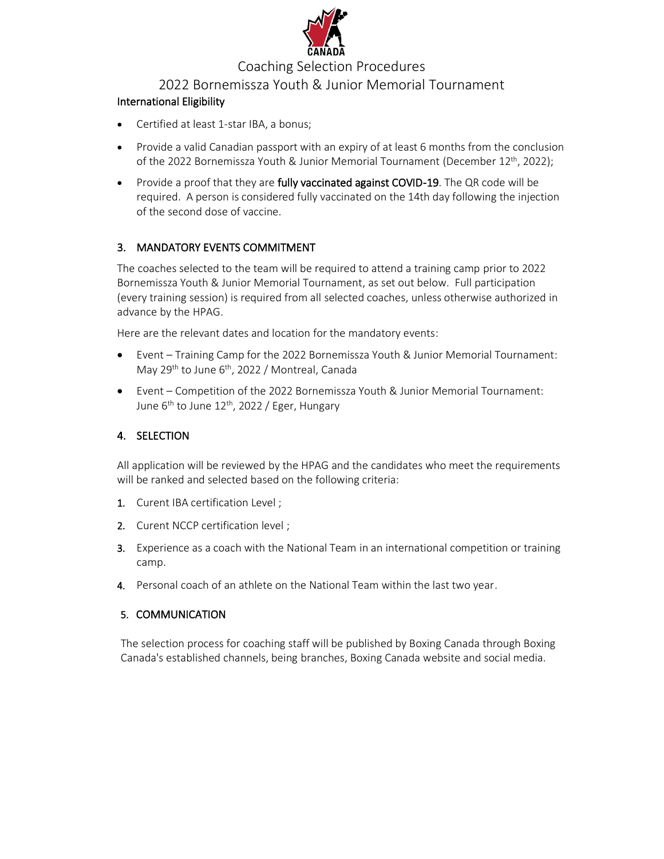

#### Coaching Selection Procedures

#### 2022 Bornemissza Youth & Junior Memorial Tournament

#### International Eligibility

- Certified at least 1-star IBA, a bonus;
- Provide a valid Canadian passport with an expiry of at least 6 months from the conclusion of the 2022 Bornemissza Youth & Junior Memorial Tournament (December 12<sup>th</sup>, 2022);
- Provide a proof that they are fully vaccinated against COVID-19. The QR code will be required. A person is considered fully vaccinated on the 14th day following the injection of the second dose of vaccine.

#### 3. MANDATORY EVENTS COMMITMENT

The coaches selected to the team will be required to attend a training camp prior to 2022 Bornemissza Youth & Junior Memorial Tournament, as set out below. Full participation (every training session) is required from all selected coaches, unless otherwise authorized in advance by the HPAG.

Here are the relevant dates and location for the mandatory events:

- Event Training Camp for the 2022 Bornemissza Youth & Junior Memorial Tournament: May 29<sup>th</sup> to June 6<sup>th</sup>, 2022 / Montreal, Canada
- Event Competition of the 2022 Bornemissza Youth & Junior Memorial Tournament: June 6<sup>th</sup> to June 12<sup>th</sup>, 2022 / Eger, Hungary

#### 4. SELECTION

All application will be reviewed by the HPAG and the candidates who meet the requirements will be ranked and selected based on the following criteria:

- 1. Curent IBA certification Level ;
- 2. Curent NCCP certification level ;
- 3. Experience as a coach with the National Team in an international competition or training camp.
- 4. Personal coach of an athlete on the National Team within the last two year.

#### 5. COMMUNICATION

The selection process for coaching staff will be published by Boxing Canada through Boxing Canada's established channels, being branches, Boxing Canada website and social media.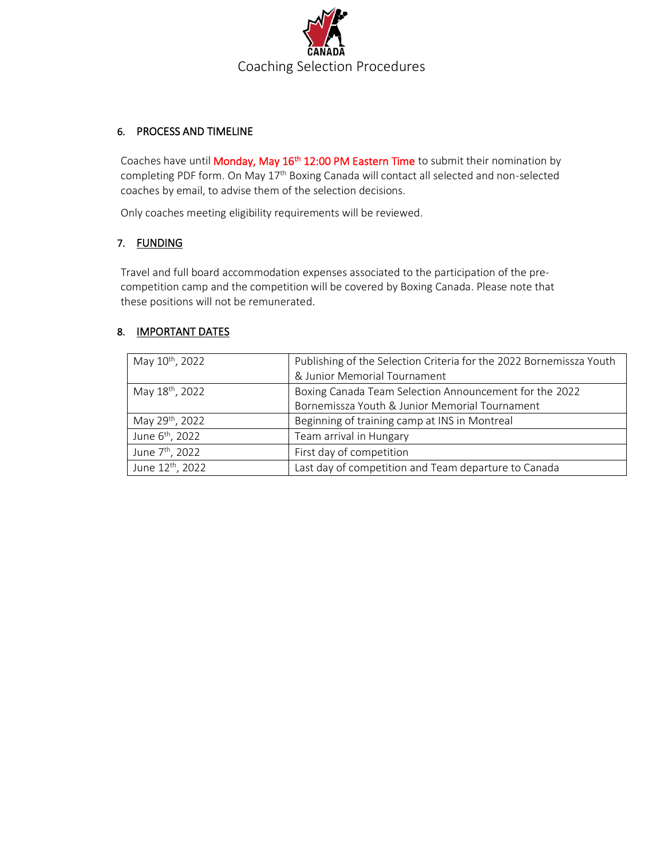

#### 6. PROCESS AND TIMELINE

Coaches have until Monday, May 16<sup>th</sup> 12:00 PM Eastern Time to submit their nomination by completing PDF form. On May 17<sup>th</sup> Boxing Canada will contact all selected and non-selected coaches by email, to advise them of the selection decisions.

Only coaches meeting eligibility requirements will be reviewed.

#### 7. FUNDING

Travel and full board accommodation expenses associated to the participation of the precompetition camp and the competition will be covered by Boxing Canada. Please note that these positions will not be remunerated.

#### 8. IMPORTANT DATES

| May 10 <sup>th</sup> , 2022  | Publishing of the Selection Criteria for the 2022 Bornemissza Youth |
|------------------------------|---------------------------------------------------------------------|
|                              | & Junior Memorial Tournament                                        |
| May 18 <sup>th</sup> , 2022  | Boxing Canada Team Selection Announcement for the 2022              |
|                              | Bornemissza Youth & Junior Memorial Tournament                      |
| May 29th, 2022               | Beginning of training camp at INS in Montreal                       |
| June 6 <sup>th</sup> , 2022  | Team arrival in Hungary                                             |
| June 7 <sup>th</sup> , 2022  | First day of competition                                            |
| June 12 <sup>th</sup> , 2022 | Last day of competition and Team departure to Canada                |